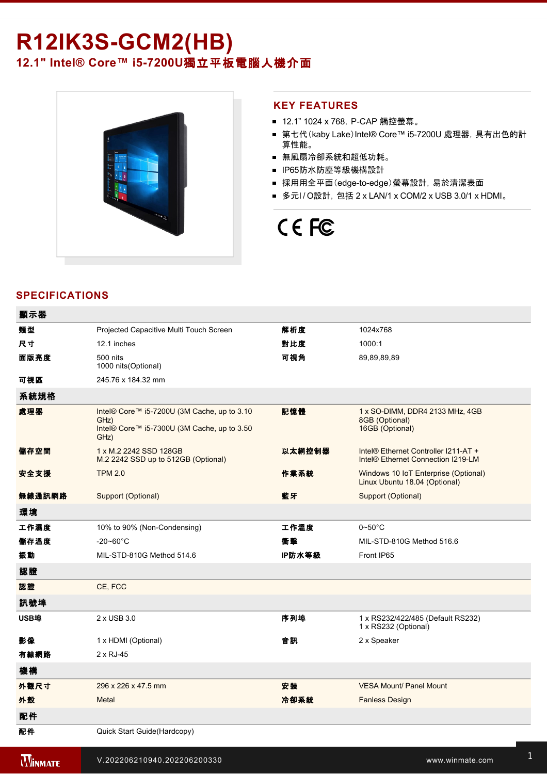# **R12IK3S-GCM2(HB)**

**12.1" Intel® Core™ i57200U**獨立平板電腦人機介面



#### **KEY FEATURES**

- 12.1" 1024 x 768, P-CAP 觸控螢幕。
- 第七代(kaby Lake)Intel® Core™ i5-7200U 處理器, 具有出色的計 算性能。
- 無風扇冷卻系統和超低功耗。
- IP65防水防塵等級機構設計
- 採用用全平面(edge-to-edge)螢幕設計, 易於清潔表面
- 多元I/O設計, 包括 2 x LAN/1 x COM/2 x USB 3.0/1 x HDMI。

# CE FC

## **SPECIFICATIONS**

| 顯示器    |                                                                                                            |        |                                                                            |
|--------|------------------------------------------------------------------------------------------------------------|--------|----------------------------------------------------------------------------|
| 類型     | Projected Capacitive Multi Touch Screen                                                                    | 解析度    | 1024x768                                                                   |
| 尺寸     | 12.1 inches                                                                                                | 對比度    | 1000:1                                                                     |
| 面版亮度   | 500 nits<br>1000 nits (Optional)                                                                           | 可視角    | 89,89,89,89                                                                |
| 可視區    | 245.76 x 184.32 mm                                                                                         |        |                                                                            |
| 系統規格   |                                                                                                            |        |                                                                            |
| 處理器    | Intel® Core™ i5-7200U (3M Cache, up to 3.10<br>GHz)<br>Intel® Core™ i5-7300U (3M Cache, up to 3.50<br>GHz) | 記憶體    | 1 x SO-DIMM, DDR4 2133 MHz, 4GB<br>8GB (Optional)<br>16GB (Optional)       |
| 儲存空間   | 1 x M.2 2242 SSD 128GB<br>M.2 2242 SSD up to 512GB (Optional)                                              | 以太網控制器 | Intel® Ethernet Controller I211-AT +<br>Intel® Ethernet Connection I219-LM |
| 安全支援   | <b>TPM 2.0</b>                                                                                             | 作業系統   | Windows 10 IoT Enterprise (Optional)<br>Linux Ubuntu 18.04 (Optional)      |
| 無線通訊網路 | Support (Optional)                                                                                         | 藍牙     | Support (Optional)                                                         |
| 環境     |                                                                                                            |        |                                                                            |
| 工作濕度   | 10% to 90% (Non-Condensing)                                                                                | 工作溫度   | $0 - 50$ °C                                                                |
| 儲存溫度   | $-20 - 60^{\circ}$ C                                                                                       | 衝聲     | MIL-STD-810G Method 516.6                                                  |
| 振動     | MIL-STD-810G Method 514.6                                                                                  | IP防水等級 | Front IP65                                                                 |
| 認證     |                                                                                                            |        |                                                                            |
| 認證     | CE, FCC                                                                                                    |        |                                                                            |
| 訊號埠    |                                                                                                            |        |                                                                            |
| USB埠   | 2 x USB 3.0                                                                                                | 序列埠    | 1 x RS232/422/485 (Default RS232)<br>1 x RS232 (Optional)                  |
| 影像     | 1 x HDMI (Optional)                                                                                        | 音訊     | 2 x Speaker                                                                |
| 有線網路   | 2 x RJ-45                                                                                                  |        |                                                                            |
| 機構     |                                                                                                            |        |                                                                            |
| 外觀尺寸   | 296 x 226 x 47.5 mm                                                                                        | 安装     | <b>VESA Mount/ Panel Mount</b>                                             |
| 外殼     | Metal                                                                                                      | 冷卻系統   | <b>Fanless Design</b>                                                      |
| 配件     |                                                                                                            |        |                                                                            |
| 配件     | Quick Start Guide (Hardcopy)                                                                               |        |                                                                            |

**WINMATE** 

電源

 $\nu$ .202206210940.202206200330  $^1$